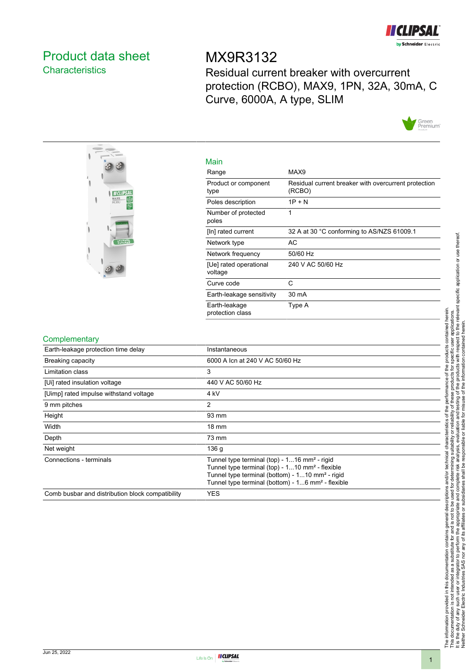

## <span id="page-0-0"></span>Product data sheet **Characteristics**

# MX9R3132

Residual current breaker with overcurrent protection (RCBO), MAX9, 1PN, 32A, 30mA, C Curve, 6000A, A type, SLIM





| Main                              |                                                                |
|-----------------------------------|----------------------------------------------------------------|
| Range                             | MAX9                                                           |
| Product or component<br>type      | Residual current breaker with overcurrent protection<br>(RCBO) |
| Poles description                 | $1P + N$                                                       |
| Number of protected<br>poles      | 1                                                              |
| [In] rated current                | 32 A at 30 °C conforming to AS/NZS 61009.1                     |
| Network type                      | AC                                                             |
| Network frequency                 | 50/60 Hz                                                       |
| [Ue] rated operational<br>voltage | 240 V AC 50/60 Hz                                              |
| Curve code                        | C                                                              |
| Earth-leakage sensitivity         | 30 mA                                                          |
| Earth-leakage<br>protection class | Type A                                                         |

#### **Complementary**

| <b>UUITIPIUITUITIUI</b>                          |                                                                                                                                                                                                                                                         |
|--------------------------------------------------|---------------------------------------------------------------------------------------------------------------------------------------------------------------------------------------------------------------------------------------------------------|
| Earth-leakage protection time delay              | Instantaneous                                                                                                                                                                                                                                           |
| <b>Breaking capacity</b>                         | 6000 A Icn at 240 V AC 50/60 Hz                                                                                                                                                                                                                         |
| Limitation class                                 | 3                                                                                                                                                                                                                                                       |
| [Ui] rated insulation voltage                    | 440 V AC 50/60 Hz                                                                                                                                                                                                                                       |
| [Uimp] rated impulse withstand voltage           | 4 kV                                                                                                                                                                                                                                                    |
| 9 mm pitches                                     | 2                                                                                                                                                                                                                                                       |
| Height                                           | 93 mm                                                                                                                                                                                                                                                   |
| Width                                            | $18 \text{ mm}$                                                                                                                                                                                                                                         |
| Depth                                            | 73 mm                                                                                                                                                                                                                                                   |
| Net weight                                       | 136 g                                                                                                                                                                                                                                                   |
| Connections - terminals                          | Tunnel type terminal (top) - 116 mm <sup>2</sup> - rigid<br>Tunnel type terminal (top) - 110 mm <sup>2</sup> - flexible<br>Tunnel type terminal (bottom) - 110 mm <sup>2</sup> - rigid<br>Tunnel type terminal (bottom) - 16 mm <sup>2</sup> - flexible |
| Comb busbar and distribution block compatibility | <b>YES</b>                                                                                                                                                                                                                                              |